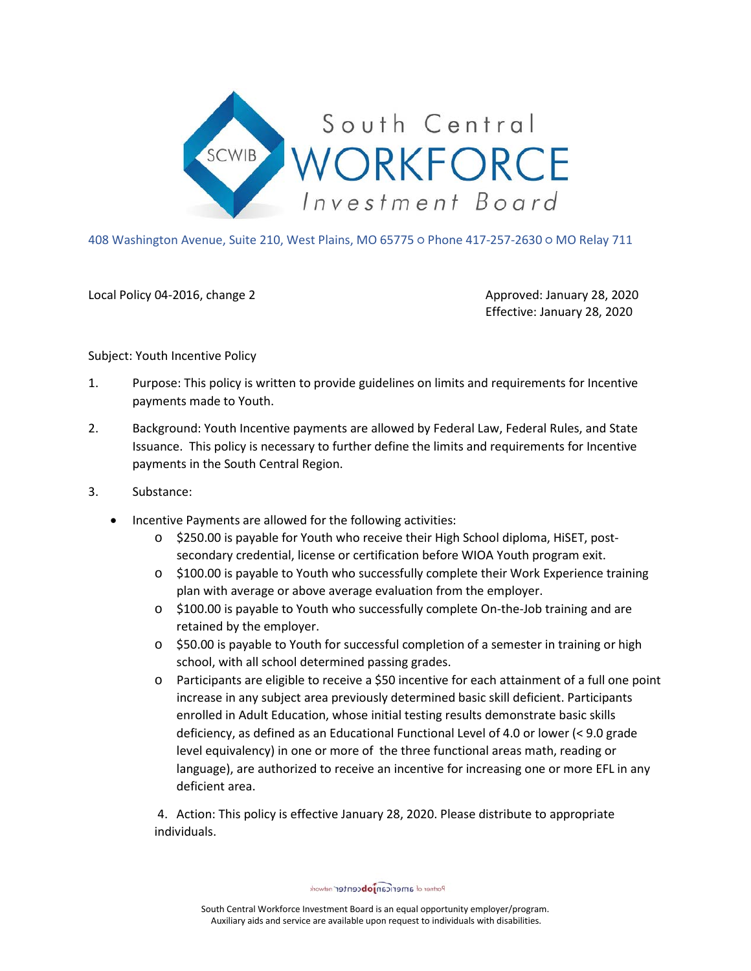

408 Washington Avenue, Suite 210, West Plains, MO 65775 ○ Phone 417-257-2630 ○ MO Relay 711

Local Policy 04-2016, change 2 Approved: January 28, 2020

Effective: January 28, 2020

Subject: Youth Incentive Policy

- 1. Purpose: This policy is written to provide guidelines on limits and requirements for Incentive payments made to Youth.
- 2. Background: Youth Incentive payments are allowed by Federal Law, Federal Rules, and State Issuance. This policy is necessary to further define the limits and requirements for Incentive payments in the South Central Region.
- 3. Substance:
	- Incentive Payments are allowed for the following activities:
		- o \$250.00 is payable for Youth who receive their High School diploma, HiSET, postsecondary credential, license or certification before WIOA Youth program exit.
		- o \$100.00 is payable to Youth who successfully complete their Work Experience training plan with average or above average evaluation from the employer.
		- $\circ$  \$100.00 is payable to Youth who successfully complete On-the-Job training and are retained by the employer.
		- o \$50.00 is payable to Youth for successful completion of a semester in training or high school, with all school determined passing grades.
		- o Participants are eligible to receive a \$50 incentive for each attainment of a full one point increase in any subject area previously determined basic skill deficient. Participants enrolled in Adult Education, whose initial testing results demonstrate basic skills deficiency, as defined as an Educational Functional Level of 4.0 or lower (< 9.0 grade level equivalency) in one or more of the three functional areas math, reading or language), are authorized to receive an incentive for increasing one or more EFL in any deficient area.

4. Action: This policy is effective January 28, 2020. Please distribute to appropriate individuals.

Partner of americanjobcenter network

South Central Workforce Investment Board is an equal opportunity employer/program. Auxiliary aids and service are available upon request to individuals with disabilities.